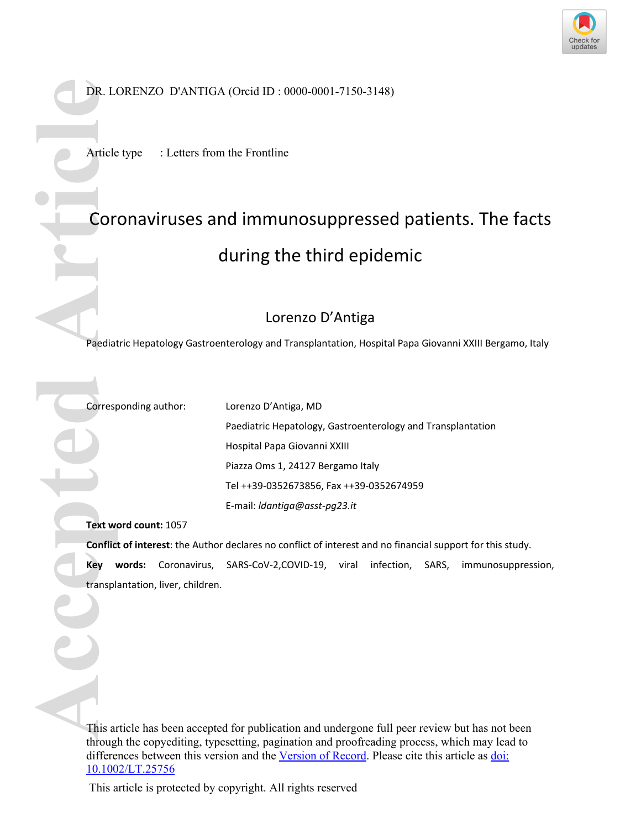

DR. LORENZO D'ANTIGA (Orcid ID : 0000-0001-7150-3148)

Article type : Letters from the Frontline

## Coronaviruses and immunosuppressed patients. The facts during the third epidemic **DR. LORENZO D'ANTIGA<br>
Article type : Letters from<br>
<b>COLORENZO D'ANTIGA**<br> **COLORENZO SE ARTICA DE LA COLORENTATION COLORENT DE PREMIER COLORENT COLORENT COLORENT COLORENT COLORENT COLORENT DE PREMIER COLORENT COLORENT DE L**

## Lorenzo D'Antiga

Paediatric Hepatology Gastroenterology and Transplantation, Hospital Papa Giovanni XXIII Bergamo, Italy

Corresponding author: Lorenzo D'Antiga, MD

Paediatric Hepatology, Gastroenterology and Transplantation Hospital Papa Giovanni XXIII Piazza Oms 1, 24127 Bergamo Italy Tel ++39-0352673856, Fax ++39-0352674959 E-mail: *ldantiga@asst-pg23.it*

**Text word count:** 1057

**Conflict of interest**: the Author declares no conflict of interest and no financial support for this study.

**Key words:** Coronavirus, SARS-CoV-2,COVID-19, viral infection, SARS, immunosuppression,

This article has been accepted for publication and undergone full peer review but has not been through the copyediting, typesetting, pagination and proofreading process, which may lead to differences between this version and the Version of Record. Please cite this article as doi: 10.1002/LT.25756

This article is protected by copyright. All rights reserved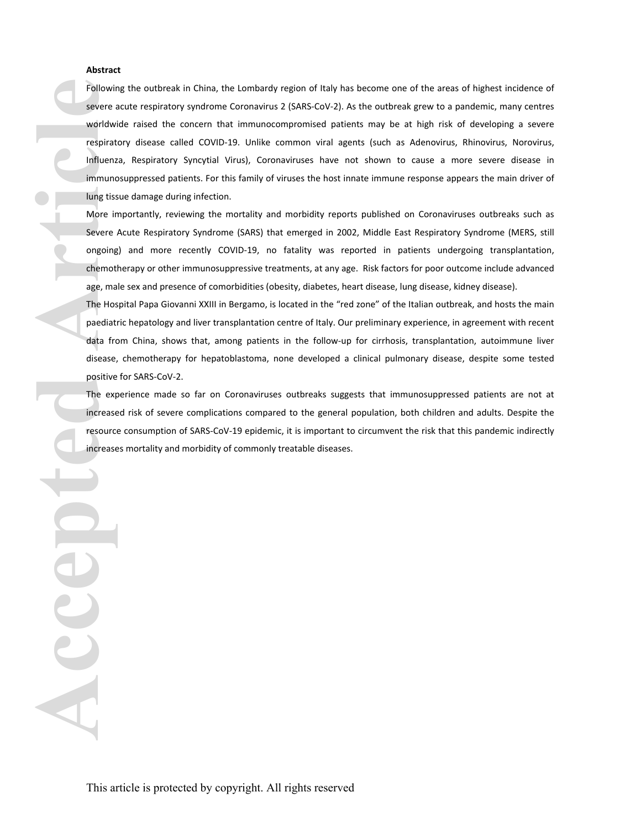## **Abstract**

Following the outbreak in China, the Lombardy region of Italy has become one of the areas of highest incidence of severe acute respiratory syndrome Coronavirus 2 (SARS-CoV-2). As the outbreak grew to a pandemic, many centres worldwide raised the concern that immunocompromised patients may be at high risk of developing a severe respiratory disease called COVID-19. Unlike common viral agents (such as Adenovirus, Rhinovirus, Norovirus, Influenza, Respiratory Syncytial Virus), Coronaviruses have not shown to cause a more severe disease in immunosuppressed patients. For this family of viruses the host innate immune response appears the main driver of lung tissue damage during infection. Following the outbreak in China, the Lombardy region of Italy has<br>severe actue respiratory syndome Coronavirus 2 (SARS CoV2). As<br>worldwide raised the concern that immunocompromised patier<br>respiratory disease called COVID-1

More importantly, reviewing the mortality and morbidity reports published on Coronaviruses outbreaks such as Severe Acute Respiratory Syndrome (SARS) that emerged in 2002, Middle East Respiratory Syndrome (MERS, still ongoing) and more recently COVID-19, no fatality was reported in patients undergoing transplantation, chemotherapy or other immunosuppressive treatments, at any age. Risk factors for poor outcome include advanced age, male sex and presence of comorbidities (obesity, diabetes, heart disease, lung disease, kidney disease).

The Hospital Papa Giovanni XXIII in Bergamo, is located in the "red zone" of the Italian outbreak, and hosts the main paediatric hepatology and liver transplantation centre of Italy. Our preliminary experience, in agreement with recent data from China, shows that, among patients in the follow-up for cirrhosis, transplantation, autoimmune liver disease, chemotherapy for hepatoblastoma, none developed a clinical pulmonary disease, despite some tested positive for SARS-CoV-2.

The experience made so far on Coronaviruses outbreaks suggests that immunosuppressed patients are not at increased risk of severe complications compared to the general population, both children and adults. Despite the resource consumption of SARS-CoV-19 epidemic, it is important to circumvent the risk that this pandemic indirectly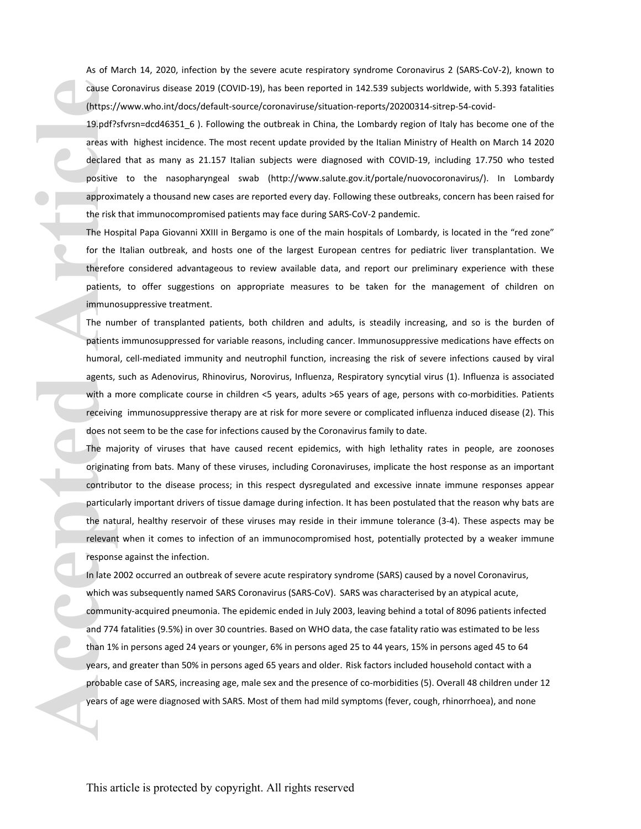As of March 14, 2020, infection by the severe acute respiratory syndrome Coronavirus 2 (SARS-CoV-2), known to cause Coronavirus disease 2019 (COVID-19), has been reported in 142.539 subjects worldwide, with 5.393 fatalities (https://www.who.int/docs/default-source/coronaviruse/situation-reports/20200314-sitrep-54-covid-

19.pdf?sfvrsn=dcd46351\_6 ). Following the outbreak in China, the Lombardy region of Italy has become one of the areas with highest incidence. The most recent update provided by the Italian Ministry of Health on March 14 2020 declared that as many as 21.157 Italian subjects were diagnosed with COVID-19, including 17.750 who tested positive to the nasopharyngeal swab (http://www.salute.gov.it/portale/nuovocoronavirus/). In Lombardy approximately a thousand new cases are reported every day. Following these outbreaks, concern has been raised for the risk that immunocompromised patients may face during SARS-CoV-2 pandemic.

The Hospital Papa Giovanni XXIII in Bergamo is one of the main hospitals of Lombardy, is located in the "red zone" for the Italian outbreak, and hosts one of the largest European centres for pediatric liver transplantation. We therefore considered advantageous to review available data, and report our preliminary experience with these patients, to offer suggestions on appropriate measures to be taken for the management of children on immunosuppressive treatment.

The number of transplanted patients, both children and adults, is steadily increasing, and so is the burden of patients immunosuppressed for variable reasons, including cancer. Immunosuppressive medications have effects on humoral, cell-mediated immunity and neutrophil function, increasing the risk of severe infections caused by viral agents, such as Adenovirus, Rhinovirus, Norovirus, Influenza, Respiratory syncytial virus (1). Influenza is associated with a more complicate course in children <5 years, adults >65 years of age, persons with co-morbidities. Patients receiving immunosuppressive therapy are at risk for more severe or complicated influenza induced disease (2). This does not seem to be the case for infections caused by the Coronavirus family to date.

The majority of viruses that have caused recent epidemics, with high lethality rates in people, are zoonoses originating from bats. Many of these viruses, including Coronaviruses, implicate the host response as an important contributor to the disease process; in this respect dysregulated and excessive innate immune responses appear particularly important drivers of tissue damage during infection. It has been postulated that the reason why bats are the natural, healthy reservoir of these viruses may reside in their immune tolerance (3-4). These aspects may be relevant when it comes to infection of an immunocompromised host, potentially protected by a weaker immune response against the infection.

In late 2002 occurred an outbreak of severe acute respiratory syndrome (SARS) caused by a novel Coronavirus, which was subsequently named SARS Coronavirus (SARS-CoV). SARS was characterised by an atypical acute, community-acquired pneumonia. The epidemic ended in July 2003, leaving behind a total of 8096 patients infected and 774 fatalities (9.5%) in over 30 countries. Based on WHO data, the case fatality ratio was estimated to be less than 1% in persons aged 24 years or younger, 6% in persons aged 25 to 44 years, 15% in persons aged 45 to 64 years, and greater than 50% in persons aged 65 years and older. Risk factors included household contact with a probable case of SARS, increasing age, male sex and the presence of co-morbidities (5). Overall 48 children under 12 The Commuter discontinuous process and the symptoms (fever) that is a statistically expected with SARS and the mild symptoms (feelingot with SARS and mild symptoms and had mild symptoms (feelingot with the symptoms (feelin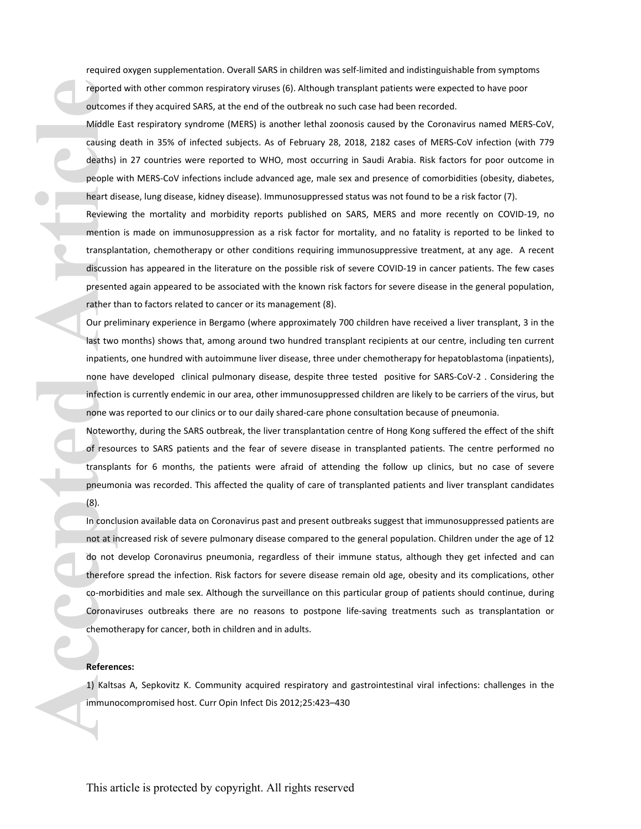required oxygen supplementation. Overall SARS in children was self-limited and indistinguishable from symptoms reported with other common respiratory viruses (6). Although transplant patients were expected to have poor outcomes if they acquired SARS, at the end of the outbreak no such case had been recorded.

Middle East respiratory syndrome (MERS) is another lethal zoonosis caused by the Coronavirus named MERS-CoV, causing death in 35% of infected subjects. As of February 28, 2018, 2182 cases of MERS-CoV infection (with 779 deaths) in 27 countries were reported to WHO, most occurring in Saudi Arabia. Risk factors for poor outcome in people with MERS-CoV infections include advanced age, male sex and presence of comorbidities (obesity, diabetes, heart disease, lung disease, kidney disease). Immunosuppressed status was not found to be a risk factor (7).

Reviewing the mortality and morbidity reports published on SARS, MERS and more recently on COVID-19, no mention is made on immunosuppression as a risk factor for mortality, and no fatality is reported to be linked to transplantation, chemotherapy or other conditions requiring immunosuppressive treatment, at any age. A recent discussion has appeared in the literature on the possible risk of severe COVID-19 in cancer patients. The few cases presented again appeared to be associated with the known risk factors for severe disease in the general population, rather than to factors related to cancer or its management (8).

Our preliminary experience in Bergamo (where approximately 700 children have received a liver transplant, 3 in the last two months) shows that, among around two hundred transplant recipients at our centre, including ten current inpatients, one hundred with autoimmune liver disease, three under chemotherapy for hepatoblastoma (inpatients), none have developed clinical pulmonary disease, despite three tested positive for SARS-CoV-2 . Considering the infection is currently endemic in our area, other immunosuppressed children are likely to be carriers of the virus, but none was reported to our clinics or to our daily shared-care phone consultation because of pneumonia.

Noteworthy, during the SARS outbreak, the liver transplantation centre of Hong Kong suffered the effect of the shift of resources to SARS patients and the fear of severe disease in transplanted patients. The centre performed no transplants for 6 months, the patients were afraid of attending the follow up clinics, but no case of severe pneumonia was recorded. This affected the quality of care of transplanted patients and liver transplant candidates (8).

In conclusion available data on Coronavirus past and present outbreaks suggest that immunosuppressed patients are not at increased risk of severe pulmonary disease compared to the general population. Children under the age of 12 do not develop Coronavirus pneumonia, regardless of their immune status, although they get infected and can therefore spread the infection. Risk factors for severe disease remain old age, obesity and its complications, other co-morbidities and male sex. Although the surveillance on this particular group of patients should continue, during Coronaviruses outbreaks there are no reasons to postpone life-saving treatments such as transplantation or chemotherapy for cancer, both in children and in adults. reported with other common respiratory viruses (c). Although tranched that detect three of the outdreak no such that detected article with the outdreak nost at the discussion geath in 35% of infected subjects. As of Februa

## **References:**

1) Kaltsas A, Sepkovitz K. Community acquired respiratory and gastrointestinal viral infections: challenges in the